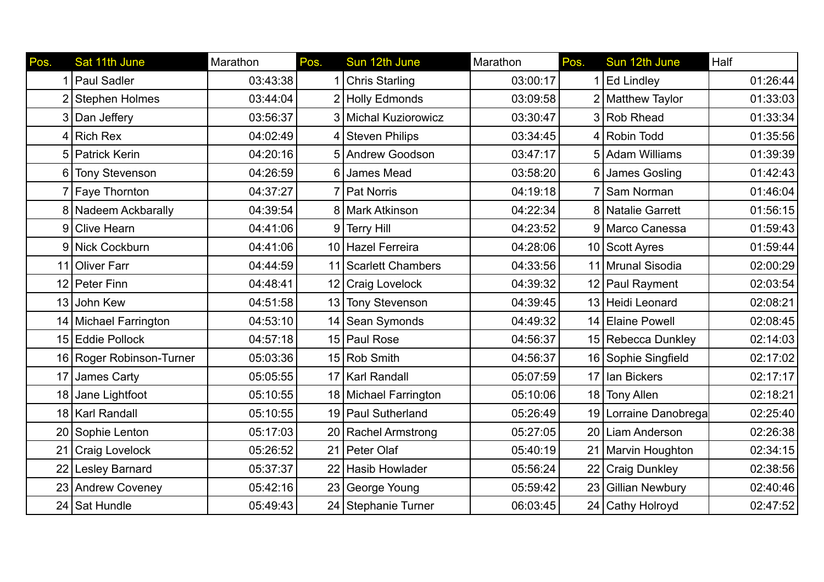| Pos. | Sat 11th June         | Marathon | Pos.           | Sun 12th June         | Marathon | Pos. | Sun 12th June         | Half     |
|------|-----------------------|----------|----------------|-----------------------|----------|------|-----------------------|----------|
|      | Paul Sadler           | 03:43:38 |                | <b>Chris Starling</b> | 03:00:17 |      | <b>Ed Lindley</b>     | 01:26:44 |
|      | <b>Stephen Holmes</b> | 03:44:04 |                | 2 Holly Edmonds       | 03:09:58 |      | 2 Matthew Taylor      | 01:33:03 |
| 3    | Dan Jeffery           | 03:56:37 |                | 3 Michal Kuziorowicz  | 03:30:47 |      | 3 Rob Rhead           | 01:33:34 |
| 4    | Rich Rex              | 04:02:49 |                | 4 Steven Philips      | 03:34:45 |      | 4 Robin Todd          | 01:35:56 |
| 5    | <b>Patrick Kerin</b>  | 04:20:16 |                | 5 Andrew Goodson      | 03:47:17 |      | 5 Adam Williams       | 01:39:39 |
| 6    | <b>Tony Stevenson</b> | 04:26:59 |                | 6 James Mead          | 03:58:20 |      | 6 James Gosling       | 01:42:43 |
|      | <b>Faye Thornton</b>  | 04:37:27 |                | <b>Pat Norris</b>     | 04:19:18 |      | 7 Sam Norman          | 01:46:04 |
|      | 8 Nadeem Ackbarally   | 04:39:54 |                | 8 Mark Atkinson       | 04:22:34 |      | 8 Natalie Garrett     | 01:56:15 |
| 9    | <b>Clive Hearn</b>    | 04:41:06 | 9 <sup>1</sup> | <b>Terry Hill</b>     | 04:23:52 |      | 9 Marco Canessa       | 01:59:43 |
|      | 9 Nick Cockburn       | 04:41:06 |                | 10 Hazel Ferreira     | 04:28:06 |      | 10 Scott Ayres        | 01:59:44 |
| 11   | <b>Oliver Farr</b>    | 04:44:59 |                | 11 Scarlett Chambers  | 04:33:56 |      | 11 Mrunal Sisodia     | 02:00:29 |
|      | 12 Peter Finn         | 04:48:41 |                | 12 Craig Lovelock     | 04:39:32 |      | 12 Paul Rayment       | 02:03:54 |
| 13   | John Kew              | 04:51:58 |                | 13 Tony Stevenson     | 04:39:45 |      | 13 Heidi Leonard      | 02:08:21 |
| 14   | Michael Farrington    | 04:53:10 |                | 14 Sean Symonds       | 04:49:32 |      | 14 Elaine Powell      | 02:08:45 |
| 15   | <b>Eddie Pollock</b>  | 04:57:18 |                | 15 Paul Rose          | 04:56:37 |      | 15 Rebecca Dunkley    | 02:14:03 |
| 16   | Roger Robinson-Turner | 05:03:36 |                | 15 Rob Smith          | 04:56:37 |      | 16 Sophie Singfield   | 02:17:02 |
| 17   | James Carty           | 05:05:55 |                | 17   Karl Randall     | 05:07:59 |      | 17 Ian Bickers        | 02:17:17 |
| 18   | Jane Lightfoot        | 05:10:55 |                | 18 Michael Farrington | 05:10:06 |      | 18 Tony Allen         | 02:18:21 |
| 18   | <b>Karl Randall</b>   | 05:10:55 |                | 19 Paul Sutherland    | 05:26:49 |      | 19 Lorraine Danobrega | 02:25:40 |
|      | 20 Sophie Lenton      | 05:17:03 |                | 20 Rachel Armstrong   | 05:27:05 |      | 20 Liam Anderson      | 02:26:38 |
| 21   | Craig Lovelock        | 05:26:52 | 21             | Peter Olaf            | 05:40:19 |      | 21 Marvin Houghton    | 02:34:15 |
| 22   | <b>Lesley Barnard</b> | 05:37:37 |                | 22 Hasib Howlader     | 05:56:24 |      | 22 Craig Dunkley      | 02:38:56 |
| 23   | <b>Andrew Coveney</b> | 05:42:16 |                | 23 George Young       | 05:59:42 |      | 23 Gillian Newbury    | 02:40:46 |
|      | 24 Sat Hundle         | 05:49:43 |                | 24 Stephanie Turner   | 06:03:45 |      | 24 Cathy Holroyd      | 02:47:52 |